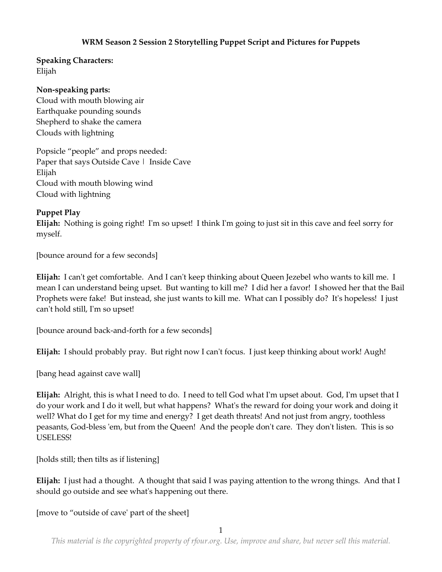# **WRM Season 2 Session 2 Storytelling Puppet Script and Pictures for Puppets**

# **Speaking Characters:**

Elijah

### **Non-speaking parts:**

Cloud with mouth blowing air Earthquake pounding sounds Shepherd to shake the camera Clouds with lightning

Popsicle "people" and props needed: Paper that says Outside Cave | Inside Cave Elijah Cloud with mouth blowing wind Cloud with lightning

# **Puppet Play**

**Elijah:** Nothing is going right! I'm so upset! I think I'm going to just sit in this cave and feel sorry for myself.

[bounce around for a few seconds]

**Elijah:** I can't get comfortable. And I can't keep thinking about Queen Jezebel who wants to kill me. I mean I can understand being upset. But wanting to kill me? I did her a favor! I showed her that the Bail Prophets were fake! But instead, she just wants to kill me. What can I possibly do? It's hopeless! I just can't hold still, I'm so upset!

[bounce around back-and-forth for a few seconds]

**Elijah:** I should probably pray. But right now I can't focus. I just keep thinking about work! Augh!

[bang head against cave wall]

**Elijah:** Alright, this is what I need to do. I need to tell God what I'm upset about. God, I'm upset that I do your work and I do it well, but what happens? What's the reward for doing your work and doing it well? What do I get for my time and energy? I get death threats! And not just from angry, toothless peasants, God-bless 'em, but from the Queen! And the people don't care. They don't listen. This is so USELESS!

[holds still; then tilts as if listening]

**Elijah:** I just had a thought. A thought that said I was paying attention to the wrong things. And that I should go outside and see what's happening out there.

[move to "outside of cave' part of the sheet]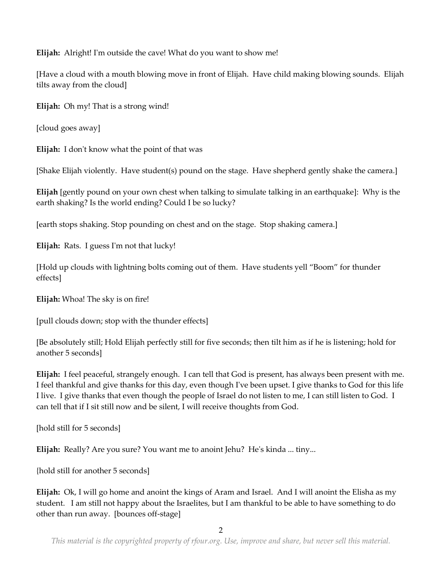**Elijah:** Alright! I'm outside the cave! What do you want to show me!

[Have a cloud with a mouth blowing move in front of Elijah. Have child making blowing sounds. Elijah tilts away from the cloud]

**Elijah:** Oh my! That is a strong wind!

[cloud goes away]

**Elijah:** I don't know what the point of that was

[Shake Elijah violently. Have student(s) pound on the stage. Have shepherd gently shake the camera.]

**Elijah** [gently pound on your own chest when talking to simulate talking in an earthquake]: Why is the earth shaking? Is the world ending? Could I be so lucky?

[earth stops shaking. Stop pounding on chest and on the stage. Stop shaking camera.]

**Elijah:** Rats. I guess I'm not that lucky!

[Hold up clouds with lightning bolts coming out of them. Have students yell "Boom" for thunder effects]

**Elijah:** Whoa! The sky is on fire!

[pull clouds down; stop with the thunder effects]

[Be absolutely still; Hold Elijah perfectly still for five seconds; then tilt him as if he is listening; hold for another 5 seconds]

**Elijah:** I feel peaceful, strangely enough. I can tell that God is present, has always been present with me. I feel thankful and give thanks for this day, even though I've been upset. I give thanks to God for this life I live. I give thanks that even though the people of Israel do not listen to me, I can still listen to God. I can tell that if I sit still now and be silent, I will receive thoughts from God.

[hold still for 5 seconds]

**Elijah:** Really? Are you sure? You want me to anoint Jehu? He's kinda ... tiny...

{hold still for another 5 seconds]

**Elijah:** Ok, I will go home and anoint the kings of Aram and Israel. And I will anoint the Elisha as my student. I am still not happy about the Israelites, but I am thankful to be able to have something to do other than run away. [bounces off-stage]